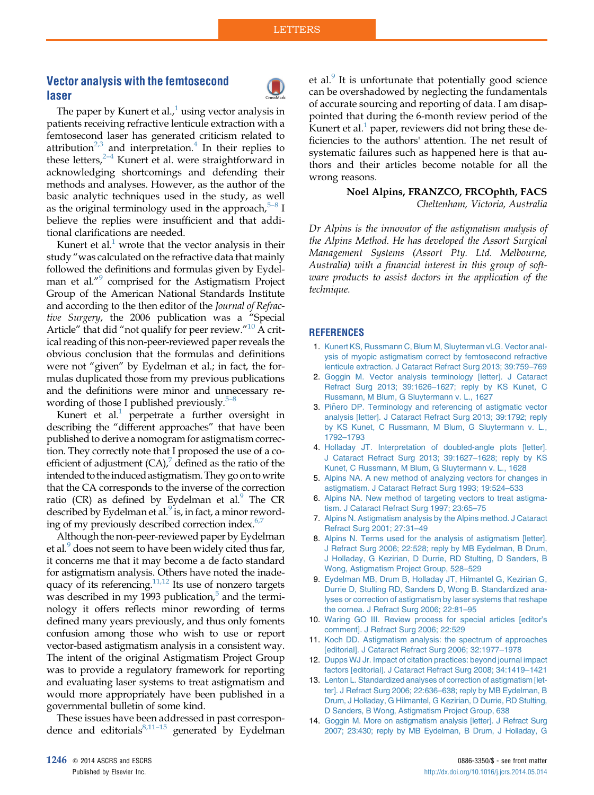## <span id="page-0-0"></span>Vector analysis with the femtosecond laser



The paper by Kunert et al., $\frac{1}{1}$  using vector analysis in patients receiving refractive lenticule extraction with a femtosecond laser has generated criticism related to attribution<sup>2,3</sup> and interpretation.<sup>4</sup> In their replies to these letters,<sup>2-4</sup> Kunert et al. were straightforward in acknowledging shortcomings and defending their methods and analyses. However, as the author of the basic analytic techniques used in the study, as well as the original terminology used in the approach,  $5-8$  I believe the replies were insufficient and that additional clarifications are needed.

Kunert et al. $<sup>1</sup>$  wrote that the vector analysis in their</sup> study "was calculated on the refractive data that mainly followed the definitions and formulas given by Eydelman et al."<sup>9</sup> comprised for the Astigmatism Project Group of the American National Standards Institute and according to the then editor of the Journal of Refractive Surgery, the 2006 publication was a "Special Article" that did "not qualify for peer review."<sup>10</sup> A critical reading of this non-peer-reviewed paper reveals the obvious conclusion that the formulas and definitions were not "given" by Eydelman et al.; in fact, the formulas duplicated those from my previous publications and the definitions were minor and unnecessary rewording of those I published previously. $5-8$ 

Kunert et al.<sup>1</sup> perpetrate a further oversight in describing the "different approaches" that have been published to derive a nomogram for astigmatism correction. They correctly note that I proposed the use of a coefficient of adjustment  $(CA)$ , defined as the ratio of the intended to the induced astigmatism. They go on to write that the CA corresponds to the inverse of the correction ratio (CR) as defined by Eydelman et al. $\degree$  The CR described by Eydelman et al. $9$  is, in fact, a minor rewording of my previously described correction index.<sup>6,7</sup>

Although the non-peer-reviewed paper by Eydelman et al.<sup>9</sup> does not seem to have been widely cited thus far, it concerns me that it may become a de facto standard for astigmatism analysis. Others have noted the inadequacy of its referencing.<sup>11,12</sup> Its use of nonzero targets was described in my 1993 publication, $5$  and the terminology it offers reflects minor rewording of terms defined many years previously, and thus only foments confusion among those who wish to use or report vector-based astigmatism analysis in a consistent way. The intent of the original Astigmatism Project Group was to provide a regulatory framework for reporting and evaluating laser systems to treat astigmatism and would more appropriately have been published in a governmental bulletin of some kind.

These issues have been addressed in past correspondence and editorials $8,11-15$  generated by Eydelman et al. $\frac{9}{1}$  It is unfortunate that potentially good science can be overshadowed by neglecting the fundamentals of accurate sourcing and reporting of data. I am disappointed that during the 6-month review period of the Kunert et al. $<sup>1</sup>$  paper, reviewers did not bring these de-</sup> ficiencies to the authors' attention. The net result of systematic failures such as happened here is that authors and their articles become notable for all the wrong reasons.

## Noel Alpins, FRANZCO, FRCOphth, FACS Cheltenham, Victoria, Australia

Dr Alpins is the innovator of the astigmatism analysis of the Alpins Method. He has developed the Assort Surgical Management Systems (Assort Pty. Ltd. Melbourne, Australia) with a financial interest in this group of software products to assist doctors in the application of the technique.

## **REFERENCES**

- 1. [Kunert KS, Russmann C, Blum M, Sluyterman vLG. Vector anal](http://refhub.elsevier.com/S0886-3350(14)00689-0/sref1)[ysis of myopic astigmatism correct by femtosecond refractive](http://refhub.elsevier.com/S0886-3350(14)00689-0/sref1) [lenticule extraction. J Cataract Refract Surg 2013; 39:759–769](http://refhub.elsevier.com/S0886-3350(14)00689-0/sref1)
- 2. [Goggin M. Vector analysis terminology \[letter\]. J Cataract](http://refhub.elsevier.com/S0886-3350(14)00689-0/sref2) [Refract Surg 2013; 39:1626–1627; reply by KS Kunet, C](http://refhub.elsevier.com/S0886-3350(14)00689-0/sref2) [Russmann, M Blum, G Sluytermann v. L., 1627](http://refhub.elsevier.com/S0886-3350(14)00689-0/sref2)
- 3. Piñero DP. Terminology and referencing of astigmatic vector [analysis \[letter\]. J Cataract Refract Surg 2013; 39:1792; reply](http://refhub.elsevier.com/S0886-3350(14)00689-0/sref3) [by KS Kunet, C Russmann, M Blum, G Sluytermann v. L.,](http://refhub.elsevier.com/S0886-3350(14)00689-0/sref3) [1792–1793](http://refhub.elsevier.com/S0886-3350(14)00689-0/sref3)
- 4. [Holladay JT. Interpretation of doubled-angle plots \[letter\].](http://refhub.elsevier.com/S0886-3350(14)00689-0/sref4) [J Cataract Refract Surg 2013; 39:1627–1628; reply by KS](http://refhub.elsevier.com/S0886-3350(14)00689-0/sref4) [Kunet, C Russmann, M Blum, G Sluytermann v. L., 1628](http://refhub.elsevier.com/S0886-3350(14)00689-0/sref4)
- 5. [Alpins NA. A new method of analyzing vectors for changes in](http://refhub.elsevier.com/S0886-3350(14)00689-0/sref5) [astigmatism. J Cataract Refract Surg 1993; 19:524–533](http://refhub.elsevier.com/S0886-3350(14)00689-0/sref5)
- 6. [Alpins NA. New method of targeting vectors to treat astigma](http://refhub.elsevier.com/S0886-3350(14)00689-0/sref6)[tism. J Cataract Refract Surg 1997; 23:65–75](http://refhub.elsevier.com/S0886-3350(14)00689-0/sref6)
- 7. [Alpins N. Astigmatism analysis by the Alpins method. J Cataract](http://refhub.elsevier.com/S0886-3350(14)00689-0/sref7) [Refract Surg 2001; 27:31–49](http://refhub.elsevier.com/S0886-3350(14)00689-0/sref7)
- 8. [Alpins N. Terms used for the analysis of astigmatism \[letter\].](http://refhub.elsevier.com/S0886-3350(14)00689-0/sref8) [J Refract Surg 2006; 22:528; reply by MB Eydelman, B Drum,](http://refhub.elsevier.com/S0886-3350(14)00689-0/sref8) [J Holladay, G Kezirian, D Durrie, RD Stulting, D Sanders, B](http://refhub.elsevier.com/S0886-3350(14)00689-0/sref8) [Wong, Astigmatism Project Group, 528–529](http://refhub.elsevier.com/S0886-3350(14)00689-0/sref8)
- 9. [Eydelman MB, Drum B, Holladay JT, Hilmantel G, Kezirian G,](http://refhub.elsevier.com/S0886-3350(14)00689-0/sref9) [Durrie D, Stulting RD, Sanders D, Wong B. Standardized ana](http://refhub.elsevier.com/S0886-3350(14)00689-0/sref9)[lyses or correction of astigmatism by laser systems that reshape](http://refhub.elsevier.com/S0886-3350(14)00689-0/sref9) [the cornea. J Refract Surg 2006; 22:81–95](http://refhub.elsevier.com/S0886-3350(14)00689-0/sref9)
- 10. [Waring GO III. Review process for special articles \[editor's](http://refhub.elsevier.com/S0886-3350(14)00689-0/sref10) [comment\]. J Refract Surg 2006; 22:529](http://refhub.elsevier.com/S0886-3350(14)00689-0/sref10)
- 11. [Koch DD. Astigmatism analysis: the spectrum of approaches](http://refhub.elsevier.com/S0886-3350(14)00689-0/sref11) [\[editorial\]. J Cataract Refract Surg 2006; 32:1977–1978](http://refhub.elsevier.com/S0886-3350(14)00689-0/sref11)
- 12. [Dupps WJ Jr. Impact of citation practices: beyond journal impact](http://refhub.elsevier.com/S0886-3350(14)00689-0/sref12) [factors \[editorial\]. J Cataract Refract Surg 2008; 34:1419–1421](http://refhub.elsevier.com/S0886-3350(14)00689-0/sref12)
- 13. [Lenton L. Standardized analyses of correction of astigmatism \[let](http://refhub.elsevier.com/S0886-3350(14)00689-0/sref13)[ter\]. J Refract Surg 2006; 22:636–638; reply by MB Eydelman, B](http://refhub.elsevier.com/S0886-3350(14)00689-0/sref13) [Drum, J Holladay, G Hilmantel, G Kezirian, D Durrie, RD Stulting,](http://refhub.elsevier.com/S0886-3350(14)00689-0/sref13) [D Sanders, B Wong, Astigmatism Project Group, 638](http://refhub.elsevier.com/S0886-3350(14)00689-0/sref13)
- 14. [Goggin M. More on astigmatism analysis \[letter\]. J Refract Surg](http://refhub.elsevier.com/S0886-3350(14)00689-0/sref14) [2007; 23:430; reply by MB Eydelman, B Drum, J Holladay, G](http://refhub.elsevier.com/S0886-3350(14)00689-0/sref14)